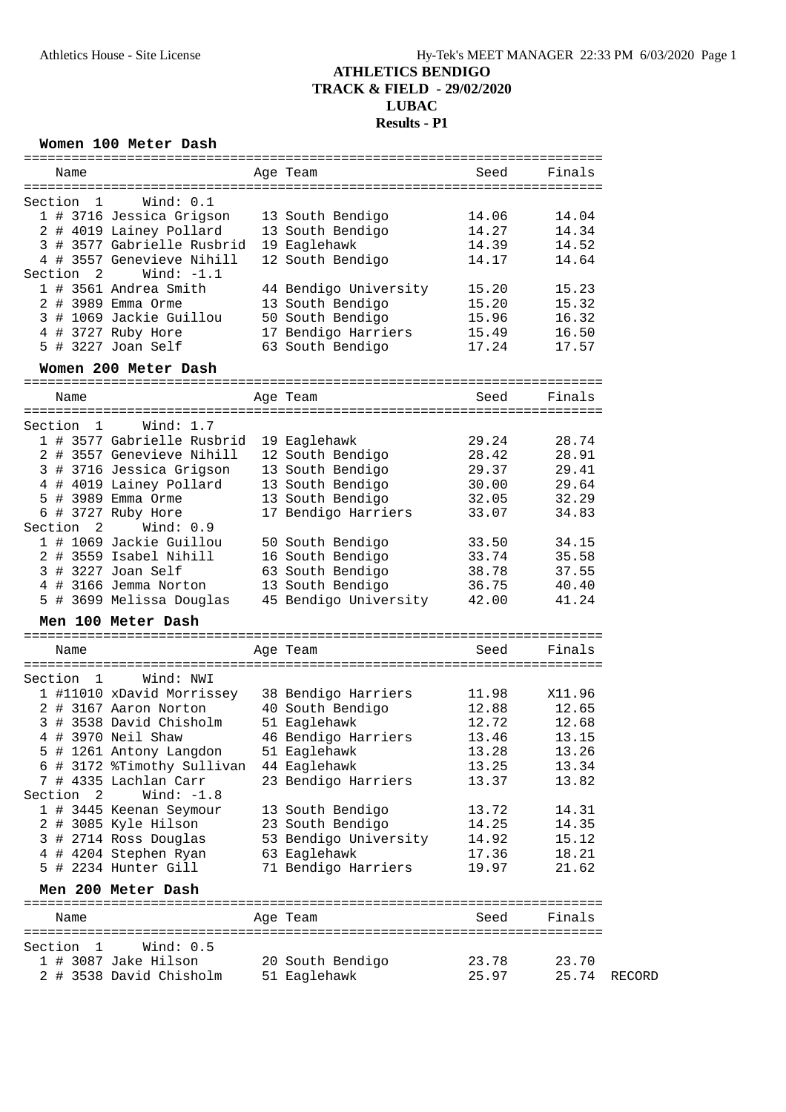#### **Women 100 Meter Dash**

| Name                                                                 | Age Team                         | Seed           | Finals         |        |
|----------------------------------------------------------------------|----------------------------------|----------------|----------------|--------|
|                                                                      |                                  |                |                |        |
| Section<br>- 1<br>Wind: 0.1                                          |                                  |                |                |        |
| 1 # 3716 Jessica Grigson<br>2 # 4019 Lainey Pollard                  | 13 South Bendigo                 | 14.06<br>14.27 | 14.04<br>14.34 |        |
| 3 # 3577 Gabrielle Rusbrid                                           | 13 South Bendigo<br>19 Eaglehawk | 14.39          | 14.52          |        |
| 4 # 3557 Genevieve Nihill                                            |                                  | 14.17          | 14.64          |        |
|                                                                      | 12 South Bendigo                 |                |                |        |
| Section 2<br>Wind: $-1.1$<br>1 # 3561 Andrea Smith                   |                                  | 15.20          | 15.23          |        |
|                                                                      | 44 Bendigo University            |                |                |        |
| 2 # 3989 Emma Orme                                                   | 13 South Bendigo                 | 15.20          | 15.32          |        |
| 3 # 1069 Jackie Guillou                                              | 50 South Bendigo                 | 15.96          | 16.32          |        |
| 4 # 3727 Ruby Hore                                                   | 17 Bendigo Harriers              | 15.49          | 16.50          |        |
| 5 # 3227 Joan Self                                                   | 63 South Bendigo                 | 17.24          | 17.57          |        |
| Women 200 Meter Dash                                                 |                                  |                |                |        |
| Name                                                                 | Age Team                         | Seed           | Finals         |        |
|                                                                      |                                  |                |                |        |
| Wind: $1.7$<br>Section<br>$\mathbf{1}$<br>1 # 3577 Gabrielle Rusbrid |                                  | 29.24          | 28.74          |        |
|                                                                      | 19 Eaglehawk                     |                | 28.91          |        |
| 2 # 3557 Genevieve Nihill                                            | 12 South Bendigo                 | 28.42          |                |        |
| 3 # 3716 Jessica Grigson                                             | 13 South Bendigo                 | 29.37          | 29.41          |        |
| 4 # 4019 Lainey Pollard                                              | 13 South Bendigo                 | 30.00          | 29.64          |        |
| 5 # 3989 Emma Orme                                                   | 13 South Bendigo                 | 32.05          | 32.29          |        |
| 6 # 3727 Ruby Hore<br>Section 2<br>Wind: 0.9                         | 17 Bendigo Harriers              | 33.07          | 34.83          |        |
| 1 # 1069 Jackie Guillou                                              | 50 South Bendigo                 | 33.50          | 34.15          |        |
| 2 # 3559 Isabel Nihill                                               | 16 South Bendigo                 | 33.74          | 35.58          |        |
| 3 # 3227 Joan Self                                                   | 63 South Bendigo                 | 38.78          | 37.55          |        |
| 4 # 3166 Jemma Norton                                                | 13 South Bendigo                 | 36.75          | 40.40          |        |
| 5 # 3699 Melissa Douglas                                             | 45 Bendigo University            | 42.00          | 41.24          |        |
| Men 100 Meter Dash                                                   |                                  |                |                |        |
|                                                                      |                                  |                |                |        |
| Name                                                                 | Age Team                         | Seed           | Finals         |        |
| Wind: NWI<br>Section<br>$\mathbf{1}$                                 |                                  |                |                |        |
| 1 #11010 xDavid Morrissey                                            | 38 Bendigo Harriers              | 11.98          | X11.96         |        |
| 2 # 3167 Aaron Norton                                                | 40 South Bendigo                 | 12.88          | 12.65          |        |
| 3 # 3538 David Chisholm                                              | 51 Eaglehawk                     | 12.72          | 12.68          |        |
| 4 # 3970 Neil Shaw                                                   | 46 Bendigo Harriers              | 13.46          | 13.15          |        |
| 5 # 1261 Antony Langdon                                              | 51 Eaglehawk                     | 13.28          | 13.26          |        |
| # 3172 %Timothy Sullivan<br>6                                        | 44 Eaglehawk                     | 13.25          | 13.34          |        |
| 7 # 4335 Lachlan Carr                                                | 23 Bendigo Harriers              | 13.37          | 13.82          |        |
| Wind: $-1.8$<br>Section<br>$\overline{\phantom{0}}^2$                |                                  |                |                |        |
| 1 # 3445 Keenan Seymour                                              | 13 South Bendigo                 | 13.72          | 14.31          |        |
| 2 # 3085 Kyle Hilson                                                 | 23 South Bendigo                 | 14.25          | 14.35          |        |
| 3 # 2714 Ross Douglas                                                | 53 Bendigo University            | 14.92          | 15.12          |        |
| # 4204 Stephen Ryan<br>4                                             | 63 Eaglehawk                     | 17.36          | 18.21          |        |
| 5 # 2234 Hunter Gill                                                 | 71 Bendigo Harriers              | 19.97          | 21.62          |        |
| Men 200 Meter Dash                                                   |                                  |                |                |        |
|                                                                      |                                  | Seed           | Finals         |        |
| Name                                                                 | Age Team                         |                |                |        |
| - 1<br>Wind: 0.5<br>Section                                          |                                  |                |                |        |
| 1 # 3087 Jake Hilson                                                 | 20 South Bendigo                 | 23.78          | 23.70          |        |
| 2 # 3538 David Chisholm                                              | 51 Eaglehawk                     | 25.97          | 25.74          | RECORD |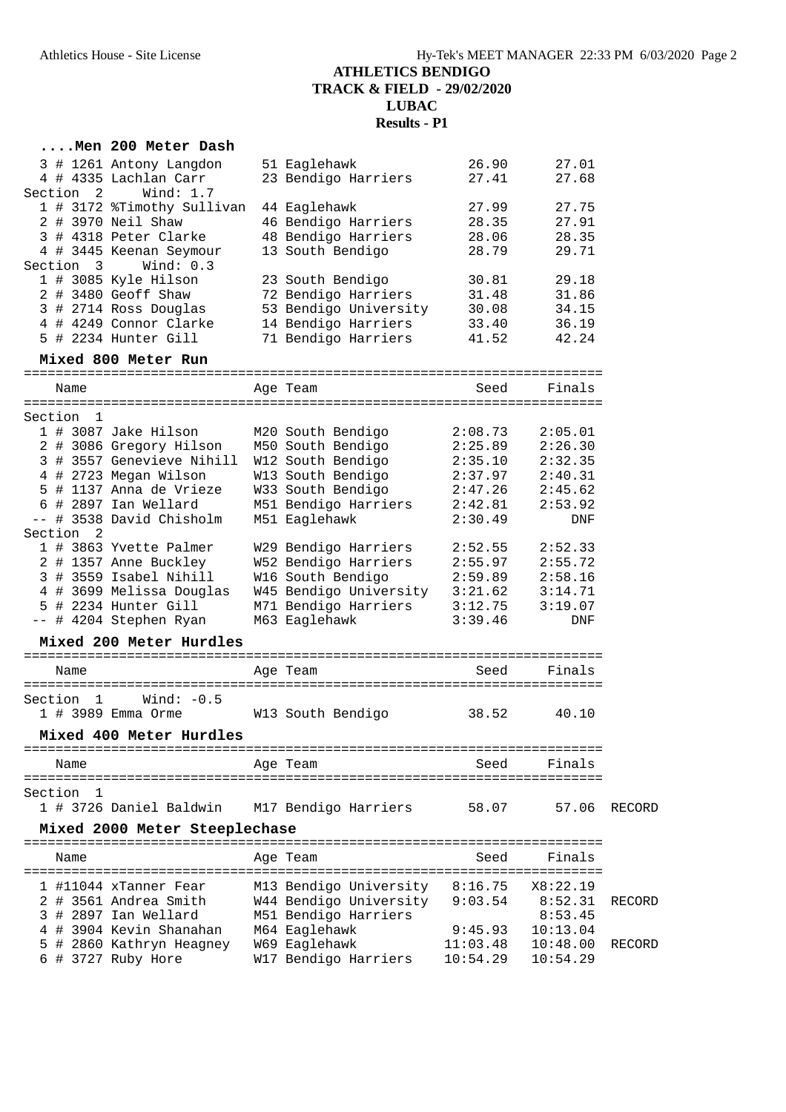| Men 200 Meter Dash                               |                                            |                    |          |        |
|--------------------------------------------------|--------------------------------------------|--------------------|----------|--------|
| 3 # 1261 Antony Langdon                          | 51 Eaglehawk                               | 26.90              | 27.01    |        |
| 4 # 4335 Lachlan Carr                            | 23 Bendigo Harriers                        | 27.41              | 27.68    |        |
| Section 2<br>Wind: $1.7$                         |                                            |                    |          |        |
| 1 # 3172 %Timothy Sullivan                       | 44 Eaglehawk                               | 27.99              | 27.75    |        |
| 2 # 3970 Neil Shaw                               | 46 Bendigo Harriers                        | 28.35              | 27.91    |        |
| 3 # 4318 Peter Clarke                            | 48 Bendigo Harriers                        | 28.06              | 28.35    |        |
| 4 # 3445 Keenan Seymour                          | 13 South Bendigo                           | 28.79              | 29.71    |        |
| Wind: $0.3$<br>Section 3                         |                                            |                    |          |        |
| 1 # 3085 Kyle Hilson                             | 23 South Bendigo                           | 30.81              | 29.18    |        |
| 2 # 3480 Geoff Shaw                              | 72 Bendigo Harriers                        | 31.48              | 31.86    |        |
| 3 # 2714 Ross Douglas                            | 53 Bendigo University                      | 30.08              | 34.15    |        |
| 4 # 4249 Connor Clarke<br>5 # 2234 Hunter Gill   | 14 Bendigo Harriers<br>71 Bendigo Harriers | 33.40              | 36.19    |        |
|                                                  |                                            | 41.52              | 42.24    |        |
| Mixed 800 Meter Run                              |                                            |                    |          |        |
| Name                                             | Age Team                                   | Seed               | Finals   |        |
|                                                  |                                            |                    |          |        |
| Section 1                                        |                                            |                    |          |        |
| 1 # 3087 Jake Hilson                             | M20 South Bendigo                          | 2:08.73            | 2:05.01  |        |
| 2 # 3086 Gregory Hilson                          | M50 South Bendigo                          | 2:25.89            | 2:26.30  |        |
| 3 # 3557 Genevieve Nihill                        | W12 South Bendigo                          | 2:35.10            | 2:32.35  |        |
| 4 # 2723 Megan Wilson                            | W13 South Bendigo                          | 2:37.97            | 2:40.31  |        |
| 5 # 1137 Anna de Vrieze                          | W33 South Bendigo                          | 2:47.26            | 2:45.62  |        |
| 6 # 2897 Ian Wellard<br>-- # 3538 David Chisholm | M51 Bendigo Harriers<br>M51 Eaglehawk      | 2:42.81<br>2:30.49 | 2:53.92  |        |
| Section 2                                        |                                            |                    | DNF      |        |
| 1 # 3863 Yvette Palmer                           | W29 Bendigo Harriers                       | 2:52.55            | 2:52.33  |        |
| 2 # 1357 Anne Buckley                            | W52 Bendigo Harriers                       | 2:55.97            | 2:55.72  |        |
| 3 # 3559 Isabel Nihill                           | W16 South Bendigo                          | 2:59.89            | 2:58.16  |        |
| 4 # 3699 Melissa Douglas                         | W45 Bendigo University                     | 3:21.62            | 3:14.71  |        |
| 5 # 2234 Hunter Gill                             | M71 Bendigo Harriers                       | 3:12.75            | 3:19.07  |        |
| -- # 4204 Stephen Ryan                           | M63 Eaglehawk                              | 3:39.46            | DNF      |        |
| Mixed 200 Meter Hurdles                          |                                            |                    |          |        |
| Name                                             | Age Team                                   | Seed               | Finals   |        |
|                                                  |                                            |                    |          |        |
| Wind: $-0.5$<br>Section 1                        |                                            |                    |          |        |
| 1 # 3989 Emma Orme                               | W13 South Bendigo                          | 38.52              | 40.10    |        |
| Mixed 400 Meter Hurdles                          |                                            |                    |          |        |
|                                                  |                                            |                    |          |        |
| Name                                             | Age Team                                   | Seed               | Finals   |        |
| Section<br>-1                                    |                                            |                    |          |        |
| 1 # 3726 Daniel Baldwin                          | M17 Bendigo Harriers                       | 58.07              | 57.06    | RECORD |
|                                                  |                                            |                    |          |        |
| Mixed 2000 Meter Steeplechase                    |                                            |                    |          |        |
| Name                                             | Age Team                                   | Seed               | Finals   |        |
| 1 #11044 xTanner Fear                            | M13 Bendigo University                     | 8:16.75            | X8:22.19 |        |
| 2 # 3561 Andrea Smith                            | W44 Bendigo University                     | 9:03.54            | 8:52.31  | RECORD |
| 3 # 2897 Ian Wellard                             | M51 Bendigo Harriers                       |                    | 8:53.45  |        |
| 4 # 3904 Kevin Shanahan                          | M64 Eaglehawk                              | 9:45.93            | 10:13.04 |        |
| 5 # 2860 Kathryn Heagney                         | W69 Eaglehawk                              | 11:03.48           | 10:48.00 | RECORD |
| 6 # 3727 Ruby Hore                               | W17 Bendigo Harriers                       | 10:54.29           | 10:54.29 |        |
|                                                  |                                            |                    |          |        |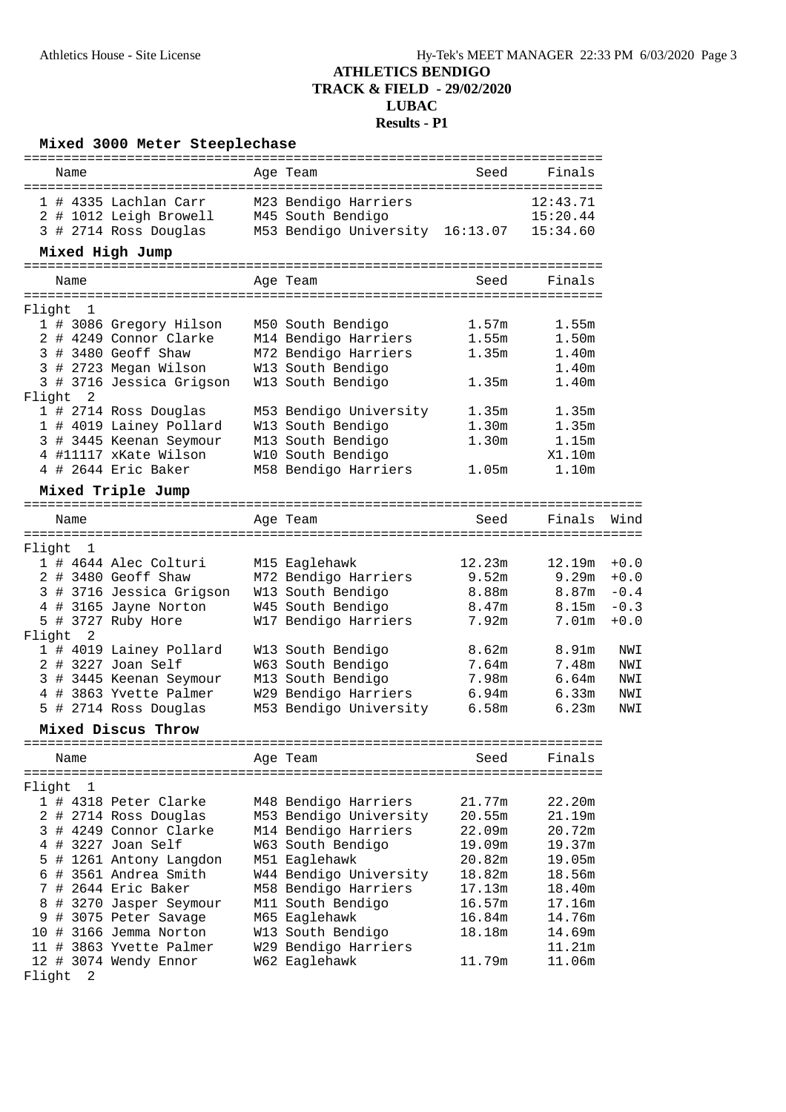| Mixed 3000 Meter Steeplechase<br>----------------------------- |      |               |                                |  |  |                                 |        |                                  |        |
|----------------------------------------------------------------|------|---------------|--------------------------------|--|--|---------------------------------|--------|----------------------------------|--------|
|                                                                | Name |               |                                |  |  | Age Team                        | Seed   | Finals                           |        |
|                                                                |      |               | 1 # 4335 Lachlan Carr          |  |  | M23 Bendigo Harriers            |        | 12:43.71                         |        |
|                                                                |      |               | 2 # 1012 Leigh Browell         |  |  | M45 South Bendigo               |        | 15:20.44                         |        |
|                                                                |      |               | 3 # 2714 Ross Douglas          |  |  | M53 Bendigo University 16:13.07 |        | 15:34.60                         |        |
|                                                                |      |               | Mixed High Jump                |  |  |                                 |        |                                  |        |
|                                                                |      |               | ============================   |  |  | :=============                  |        | ================================ |        |
|                                                                | Name |               |                                |  |  | Age Team                        | Seed   | Finals                           |        |
| Flight 1                                                       |      |               |                                |  |  |                                 |        |                                  |        |
|                                                                |      |               | 1 # 3086 Gregory Hilson        |  |  | M50 South Bendigo               | 1.57m  | 1.55m                            |        |
|                                                                |      |               | 2 # 4249 Connor Clarke         |  |  | M14 Bendigo Harriers            | 1.55m  | 1.50m                            |        |
|                                                                |      |               | 3 # 3480 Geoff Shaw            |  |  | M72 Bendigo Harriers            | 1.35m  | 1.40m                            |        |
|                                                                |      |               | 3 # 2723 Megan Wilson          |  |  | W13 South Bendigo               |        | 1.40m                            |        |
|                                                                |      |               | 3 # 3716 Jessica Grigson       |  |  | W13 South Bendigo               | 1.35m  | 1.40m                            |        |
| Flight 2                                                       |      |               |                                |  |  |                                 |        |                                  |        |
|                                                                |      |               | 1 # 2714 Ross Douglas          |  |  | M53 Bendigo University          | 1.35m  | 1.35m                            |        |
|                                                                |      |               | 1 # 4019 Lainey Pollard        |  |  | W13 South Bendigo               | 1.30m  | 1.35m                            |        |
|                                                                |      |               | 3 # 3445 Keenan Seymour        |  |  | M13 South Bendigo               | 1.30m  | 1.15m                            |        |
|                                                                |      |               | 4 #11117 xKate Wilson          |  |  | W10 South Bendigo               |        | X1.10m                           |        |
|                                                                |      |               | 4 # 2644 Eric Baker            |  |  | M58 Bendigo Harriers            | 1.05m  | 1.10m                            |        |
|                                                                |      |               | Mixed Triple Jump              |  |  |                                 |        |                                  |        |
|                                                                |      |               | ============================== |  |  |                                 |        |                                  |        |
|                                                                | Name | ------------- |                                |  |  | Age Team                        | Seed   | Finals                           | Wind   |
| Flight 1                                                       |      |               |                                |  |  |                                 |        | ============================     |        |
|                                                                |      |               | 1 # 4644 Alec Colturi          |  |  | M15 Eaglehawk                   | 12.23m | 12.19m                           | $+0.0$ |
|                                                                |      |               | 2 # 3480 Geoff Shaw            |  |  | M72 Bendigo Harriers            | 9.52m  | 9.29m                            | $+0.0$ |
|                                                                |      |               | 3 # 3716 Jessica Grigson       |  |  | W13 South Bendigo               | 8.88m  | 8.87m                            | $-0.4$ |
|                                                                |      |               | 4 # 3165 Jayne Norton          |  |  | W45 South Bendigo               | 8.47m  | 8.15m                            | $-0.3$ |
|                                                                |      |               | 5 # 3727 Ruby Hore             |  |  | W17 Bendigo Harriers            | 7.92m  | 7.01m                            | $+0.0$ |
| Flight 2                                                       |      |               |                                |  |  |                                 |        |                                  |        |
|                                                                |      |               | 1 # 4019 Lainey Pollard        |  |  | W13 South Bendigo               | 8.62m  | 8.91m                            | NWI    |
|                                                                |      |               | 2 # 3227 Joan Self             |  |  | W63 South Bendigo               | 7.64m  | 7.48m                            | NWI    |
|                                                                |      |               | 3 # 3445 Keenan Seymour        |  |  | M13 South Bendigo               | 7.98m  | 6.64m                            | NWI    |
|                                                                |      |               | 4 # 3863 Yvette Palmer         |  |  | W29 Bendigo Harriers            | 6.94m  | 6.33m                            | NWI    |
|                                                                |      |               | 5 # 2714 Ross Douglas          |  |  | M53 Bendigo University          | 6.58m  | 6.23m                            | NWI    |
|                                                                |      |               | Mixed Discus Throw             |  |  |                                 |        |                                  |        |
|                                                                | Name |               |                                |  |  | Age Team                        | Seed   | Finals                           |        |
|                                                                |      |               |                                |  |  |                                 |        |                                  |        |
| Flight                                                         |      | 1             |                                |  |  |                                 |        |                                  |        |
|                                                                |      |               | 1 # 4318 Peter Clarke          |  |  | M48 Bendigo Harriers            | 21.77m | 22.20m                           |        |
|                                                                |      |               | 2 # 2714 Ross Douglas          |  |  | M53 Bendigo University          | 20.55m | 21.19m                           |        |
|                                                                |      |               | 3 # 4249 Connor Clarke         |  |  | M14 Bendigo Harriers            | 22.09m | 20.72m                           |        |
|                                                                |      |               | 4 # 3227 Joan Self             |  |  | W63 South Bendigo               | 19.09m | 19.37m                           |        |
|                                                                |      |               | 5 # 1261 Antony Langdon        |  |  | M51 Eaglehawk                   | 20.82m | 19.05m                           |        |
|                                                                |      |               | 6 # 3561 Andrea Smith          |  |  | W44 Bendigo University          | 18.82m | 18.56m                           |        |
|                                                                |      |               | 7 # 2644 Eric Baker            |  |  | M58 Bendigo Harriers            | 17.13m | 18.40m                           |        |
|                                                                |      |               | 8 # 3270 Jasper Seymour        |  |  | M11 South Bendigo               | 16.57m | 17.16m                           |        |
| 9                                                              |      |               | # 3075 Peter Savage            |  |  | M65 Eaglehawk                   | 16.84m | 14.76m                           |        |
|                                                                |      |               | 10 # 3166 Jemma Norton         |  |  | W13 South Bendigo               | 18.18m | 14.69m                           |        |
|                                                                |      |               | 11 # 3863 Yvette Palmer        |  |  | W29 Bendigo Harriers            |        | 11.21m                           |        |
|                                                                |      |               | 12 # 3074 Wendy Ennor          |  |  | W62 Eaglehawk                   | 11.79m | 11.06m                           |        |
| Flight 2                                                       |      |               |                                |  |  |                                 |        |                                  |        |